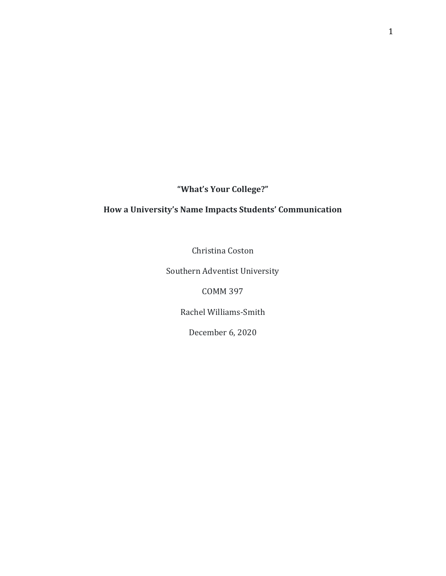**"What's Your College?"**

# **How a University's Name Impacts Students' Communication**

Christina Coston

Southern Adventist University

COMM 397

Rachel Williams-Smith

December 6, 2020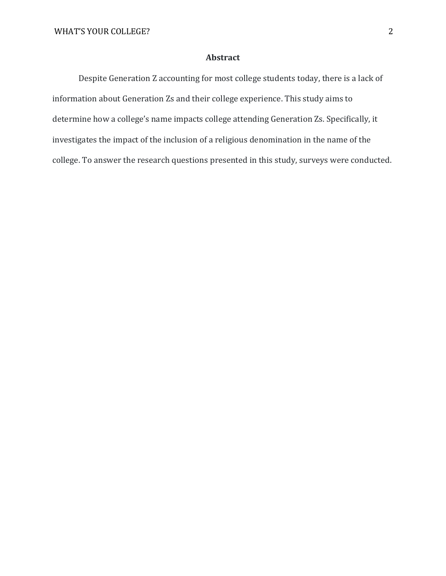# **Abstract**

Despite Generation Z accounting for most college students today, there is a lack of information about Generation Zs and their college experience. This study aims to determine how a college's name impacts college attending Generation Zs. Specifically, it investigates the impact of the inclusion of a religious denomination in the name of the college. To answer the research questions presented in this study, surveys were conducted.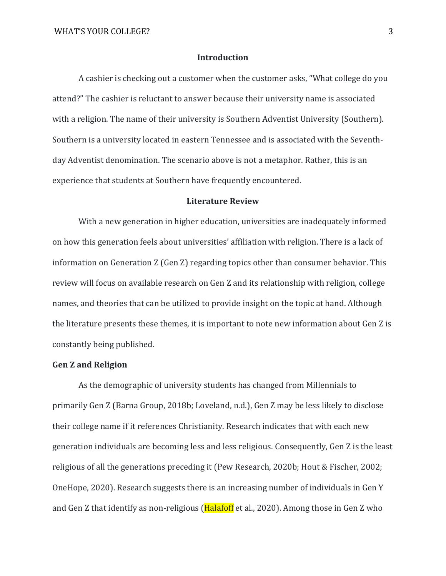### **Introduction**

A cashier is checking out a customer when the customer asks, "What college do you attend?" The cashier is reluctant to answer because their university name is associated with a religion. The name of their university is Southern Adventist University (Southern). Southern is a university located in eastern Tennessee and is associated with the Seventhday Adventist denomination. The scenario above is not a metaphor. Rather, this is an experience that students at Southern have frequently encountered.

#### **Literature Review**

With a new generation in higher education, universities are inadequately informed on how this generation feels about universities' affiliation with religion. There is a lack of information on Generation Z (Gen Z) regarding topics other than consumer behavior. This review will focus on available research on Gen Z and its relationship with religion, college names, and theories that can be utilized to provide insight on the topic at hand. Although the literature presents these themes, it is important to note new information about Gen Z is constantly being published.

#### **Gen Z and Religion**

As the demographic of university students has changed from Millennials to primarily Gen Z (Barna Group, 2018b; Loveland, n.d.), Gen Z may be less likely to disclose their college name if it references Christianity. Research indicates that with each new generation individuals are becoming less and less religious. Consequently, Gen Z is the least religious of all the generations preceding it (Pew Research, 2020b; Hout & Fischer, 2002; OneHope, 2020). Research suggests there is an increasing number of individuals in Gen Y and Gen Z that identify as non-religious (**Halafoff** et al., 2020). Among those in Gen Z who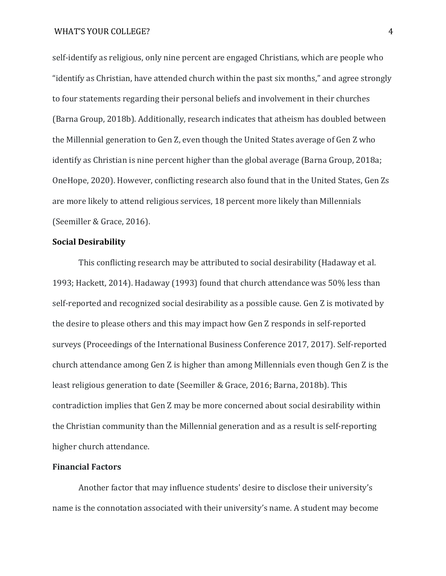self-identify as religious, only nine percent are engaged Christians, which are people who "identify as Christian, have attended church within the past six months," and agree strongly to four statements regarding their personal beliefs and involvement in their churches (Barna Group, 2018b). Additionally, research indicates that atheism has doubled between the Millennial generation to Gen Z, even though the United States average of Gen Z who identify as Christian is nine percent higher than the global average (Barna Group, 2018a; OneHope, 2020). However, conflicting research also found that in the United States, Gen Zs are more likely to attend religious services, 18 percent more likely than Millennials (Seemiller & Grace, 2016).

#### **Social Desirability**

This conflicting research may be attributed to social desirability (Hadaway et al. 1993; Hackett, 2014). Hadaway (1993) found that church attendance was 50% less than self-reported and recognized social desirability as a possible cause. Gen Z is motivated by the desire to please others and this may impact how Gen Z responds in self-reported surveys (Proceedings of the International Business Conference 2017, 2017). Self-reported church attendance among Gen Z is higher than among Millennials even though Gen Z is the least religious generation to date (Seemiller & Grace, 2016; Barna, 2018b). This contradiction implies that Gen Z may be more concerned about social desirability within the Christian community than the Millennial generation and as a result is self-reporting higher church attendance.

# **Financial Factors**

Another factor that may influence students' desire to disclose their university's name is the connotation associated with their university's name. A student may become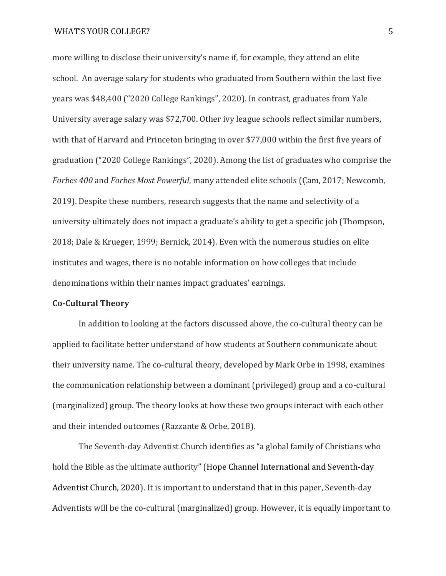more willing to disclose their university's name if, for example, they attend an elite school. An average salary for students who graduated from Southern within the last five years was \$48,400 ("2020 College Rankings", 2020). In contrast, graduates from Yale University average salary was \$72,700. Other ivy league schools reflect similar numbers, with that of Harvard and Princeton bringing in over \$77,000 within the first five years of graduation ("2020 College Rankings", 2020). Among the list of graduates who comprise the *Forbes 400* and *Forbes Most Powerful*, many attended elite schools [\(Çam,](https://www.forbes.com/sites/denizcam/) 2017; Newcomb, 2019). Despite these numbers, research suggests that the name and selectivity of a university ultimately does not impact a graduate's ability to get a specific job (Thompson, 2018; Dale & Krueger, 1999; Bernick, 2014). Even with the numerous studies on elite institutes and wages, there is no notable information on how colleges that include denominations within their names impact graduates' earnings.

#### **Co-Cultural Theory**

In addition to looking at the factors discussed above, the co-cultural theory can be applied to facilitate better understand of how students at Southern communicate about their university name. The co-cultural theory, developed by Mark Orbe in 1998, examines the communication relationship between a dominant (privileged) group and a co-cultural (marginalized) group. The theory looks at how these two groups interact with each other and their intended outcomes (Razzante & Orbe, 2018).

The Seventh-day Adventist Church identifies as "a global family of Christians who hold the Bible as the ultimate authority" (Hope Channel International and Seventh-day Adventist Church, 2020). It is important to understand that in this paper, Seventh-day Adventists will be the co-cultural (marginalized) group. However, it is equally important to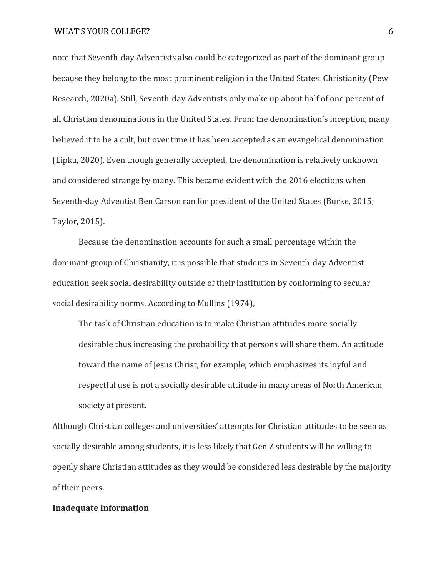note that Seventh-day Adventists also could be categorized as part of the dominant group because they belong to the most prominent religion in the United States: Christianity (Pew Research, 2020a). Still, Seventh-day Adventists only make up about half of one percent of all Christian denominations in the United States. From the denomination's inception, many believed it to be a cult, but over time it has been accepted as an evangelical denomination (Lipka, 2020). Even though generally accepted, the denomination is relatively unknown and considered strange by many. This became evident with the 2016 elections when Seventh-day Adventist Ben Carson ran for president of the United States (Burke, 2015; Taylor, 2015).

Because the denomination accounts for such a small percentage within the dominant group of Christianity, it is possible that students in Seventh-day Adventist education seek social desirability outside of their institution by conforming to secular social desirability norms. According to Mullins (1974),

The task of Christian education is to make Christian attitudes more socially desirable thus increasing the probability that persons will share them. An attitude toward the name of Jesus Christ, for example, which emphasizes its joyful and respectful use is not a socially desirable attitude in many areas of North American society at present.

Although Christian colleges and universities' attempts for Christian attitudes to be seen as socially desirable among students, it is less likely that Gen Z students will be willing to openly share Christian attitudes as they would be considered less desirable by the majority of their peers.

# **Inadequate Information**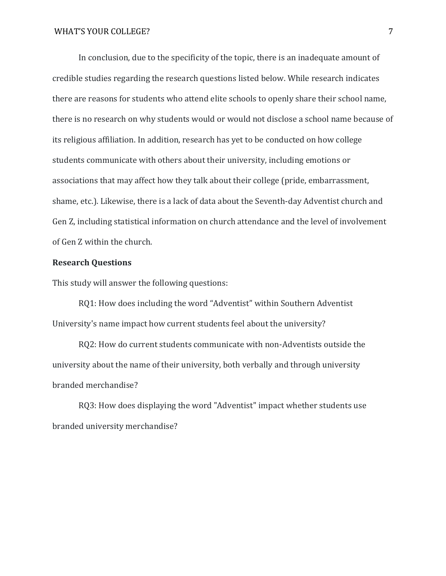In conclusion, due to the specificity of the topic, there is an inadequate amount of credible studies regarding the research questions listed below. While research indicates there are reasons for students who attend elite schools to openly share their school name, there is no research on why students would or would not disclose a school name because of its religious affiliation. In addition, research has yet to be conducted on how college students communicate with others about their university, including emotions or associations that may affect how they talk about their college (pride, embarrassment, shame, etc.). Likewise, there is a lack of data about the Seventh-day Adventist church and Gen Z, including statistical information on church attendance and the level of involvement of Gen Z within the church.

# **Research Questions**

This study will answer the following questions:

RQ1: How does including the word "Adventist" within Southern Adventist University's name impact how current students feel about the university?

RQ2: How do current students communicate with non-Adventists outside the university about the name of their university, both verbally and through university branded merchandise?

RQ3: How does displaying the word "Adventist" impact whether students use branded university merchandise?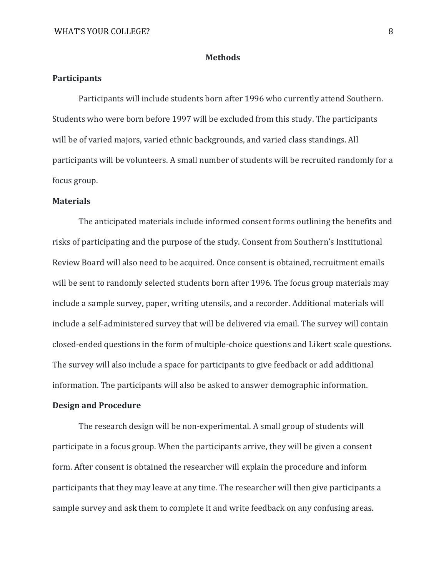#### **Methods**

### **Participants**

Participants will include students born after 1996 who currently attend Southern. Students who were born before 1997 will be excluded from this study. The participants will be of varied majors, varied ethnic backgrounds, and varied class standings. All participants will be volunteers. A small number of students will be recruited randomly for a focus group.

### **Materials**

The anticipated materials include informed consent forms outlining the benefits and risks of participating and the purpose of the study. Consent from Southern's Institutional Review Board will also need to be acquired. Once consent is obtained, recruitment emails will be sent to randomly selected students born after 1996. The focus group materials may include a sample survey, paper, writing utensils, and a recorder. Additional materials will include a self-administered survey that will be delivered via email. The survey will contain closed-ended questions in the form of multiple-choice questions and Likert scale questions. The survey will also include a space for participants to give feedback or add additional information. The participants will also be asked to answer demographic information.

### **Design and Procedure**

The research design will be non-experimental. A small group of students will participate in a focus group. When the participants arrive, they will be given a consent form. After consent is obtained the researcher will explain the procedure and inform participants that they may leave at any time. The researcher will then give participants a sample survey and ask them to complete it and write feedback on any confusing areas.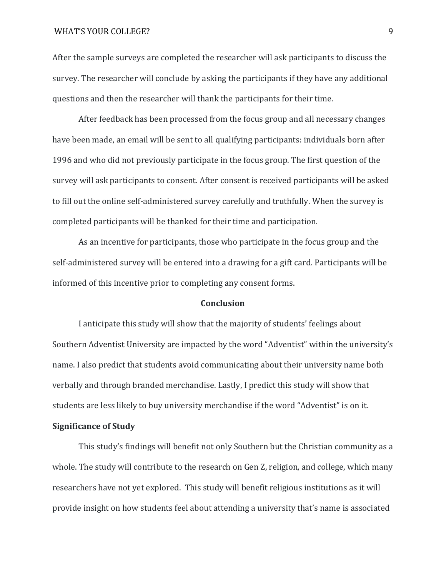After the sample surveys are completed the researcher will ask participants to discuss the survey. The researcher will conclude by asking the participants if they have any additional questions and then the researcher will thank the participants for their time.

After feedback has been processed from the focus group and all necessary changes have been made, an email will be sent to all qualifying participants: individuals born after 1996 and who did not previously participate in the focus group. The first question of the survey will ask participants to consent. After consent is received participants will be asked to fill out the online self-administered survey carefully and truthfully. When the survey is completed participants will be thanked for their time and participation.

As an incentive for participants, those who participate in the focus group and the self-administered survey will be entered into a drawing for a gift card. Participants will be informed of this incentive prior to completing any consent forms.

#### **Conclusion**

I anticipate this study will show that the majority of students' feelings about Southern Adventist University are impacted by the word "Adventist" within the university's name. I also predict that students avoid communicating about their university name both verbally and through branded merchandise. Lastly, I predict this study will show that students are less likely to buy university merchandise if the word "Adventist" is on it.

#### **Significance of Study**

This study's findings will benefit not only Southern but the Christian community as a whole. The study will contribute to the research on Gen Z, religion, and college, which many researchers have not yet explored. This study will benefit religious institutions as it will provide insight on how students feel about attending a university that's name is associated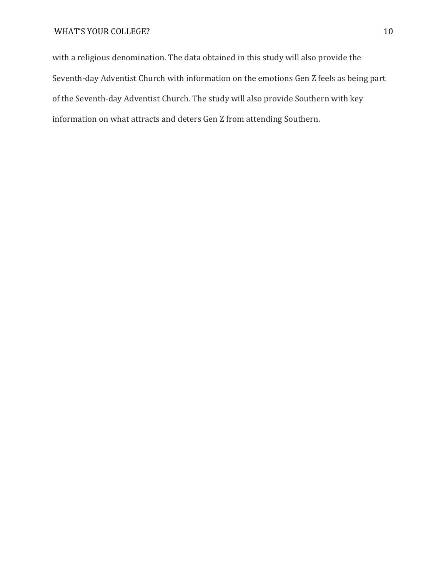with a religious denomination. The data obtained in this study will also provide the Seventh-day Adventist Church with information on the emotions Gen Z feels as being part of the Seventh-day Adventist Church. The study will also provide Southern with key information on what attracts and deters Gen Z from attending Southern.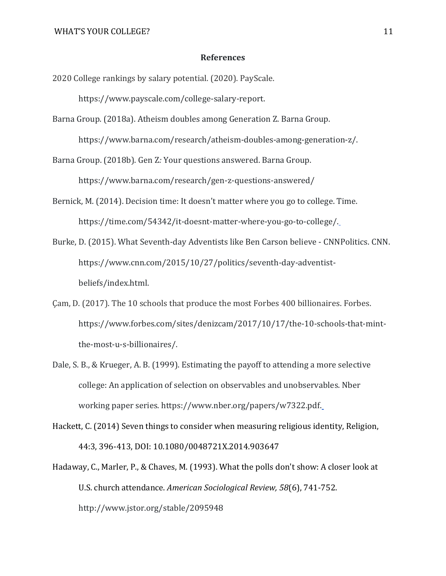#### **References**

- 2020 College rankings by salary potential. (2020). PayScale. https://www.payscale.com/college-salary-report.
- Barna Group. (2018a). Atheism doubles among Generation Z. Barna Group. https://www.barna.com/research/atheism-doubles-among-generation-z/.
- Barna Group. (2018b). Gen Z*:* Your questions answered. Barna Grou[p.](https://www.barna.com/research/gen-z-questions-answered/) <https://www.barna.com/research/gen-z-questions-answered/>
- Bernick, M. (2014). Decision time: It doesn't matter where you go to college. Time. https://time.com/54342/it-doesnt-matter-where-you-go-to-college/.
- Burke, D. (2015). What Seventh-day Adventists like Ben Carson believe CNNPolitics. CNN. https://www.cnn.com/2015/10/27/politics/seventh-day-adventistbeliefs/index.html.
- Çam, D. (2017). The 10 schools that produce the most Forbes 400 billionaires. Forbes. https://www.forbes.com/sites/denizcam/2017/10/17/the-10-schools-that-mintthe-most-u-s-billionaires/.
- Dale, S. B., & Krueger, A. B. (1999). Estimating the payoff to attending a more selective college: An application of selection on observables and unobservables. Nber working paper series. https://www.nber.org/papers/w7322.pdf.
- Hackett, C. (2014) Seven things to consider when measuring religious identity, Religion, 44:3, 396-413, DOI: 10.1080/0048721X.2014.903647
- Hadaway, C., Marler, P., & Chaves, M. (1993). What the polls don't show: A closer look at U.S. church attendance. *American Sociological Review, 58*(6), 741-752. <http://www.jstor.org/stable/2095948>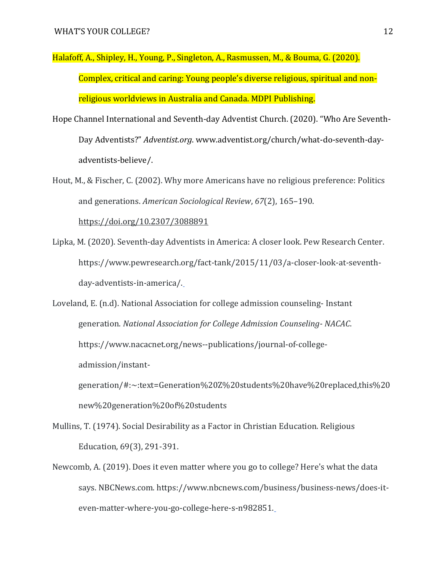- Halafoff, A., Shipley, H., Young, P., Singleton, A., Rasmussen, M., & Bouma, G. (2020). Complex, critical and caring: Young people's diverse religious, spiritual and nonreligious worldviews in Australia and Canada. MDPI Publishing.
- Hope Channel International and Seventh-day Adventist Church. (2020). "Who Are Seventh-Day Adventists?" *Adventist.org*. www.adventist.org/church/what-do-seventh-dayadventists-believe/.
- Hout, M., & Fischer, C. (2002). Why more Americans have no religious preference: Politics and generations. *American Sociological Review*, *67*(2), 165–19[0.](https://doi.org/10.2307/3088891) <https://doi.org/10.2307/3088891>
- Lipka, M. (2020). Seventh-day Adventists in America: A closer look. Pew Research Center. https://www.pewresearch.org/fact-tank/2015/11/03/a-closer-look-at-seventhday-adventists-in-america/.
- Loveland, E. (n.d). National Association for college admission counseling- Instant generation. *National Association for College Admission Counseling- NACAC*[.](https://www.nacacnet.org/news--publications/journal-of-college-admission/instant-generation/#:~:text=Generation%20Z%20students%20have%20replaced,this%20new%20generation%20of%20students) [https://www.nacacnet.org/news--publications/journal-of-college](https://www.nacacnet.org/news--publications/journal-of-college-admission/instant-generation/#:~:text=Generation%20Z%20students%20have%20replaced,this%20new%20generation%20of%20students)[admission/instant-](https://www.nacacnet.org/news--publications/journal-of-college-admission/instant-generation/#:~:text=Generation%20Z%20students%20have%20replaced,this%20new%20generation%20of%20students)

[generation/#:~:text=Generation%20Z%20students%20have%20replaced,this%20](https://www.nacacnet.org/news--publications/journal-of-college-admission/instant-generation/#:~:text=Generation%20Z%20students%20have%20replaced,this%20new%20generation%20of%20students) [new%20generation%20of%20students](https://www.nacacnet.org/news--publications/journal-of-college-admission/instant-generation/#:~:text=Generation%20Z%20students%20have%20replaced,this%20new%20generation%20of%20students)

- Mullins, T. (1974). Social Desirability as a Factor in Christian Education. Religious Education, 69(3), 291-391.
- Newcomb, A. (2019). Does it even matter where you go to college? Here's what the data says. NBCNews.com. https://www.nbcnews.com/business/business-news/does-iteven-matter-where-you-go-college-here-s-n982851.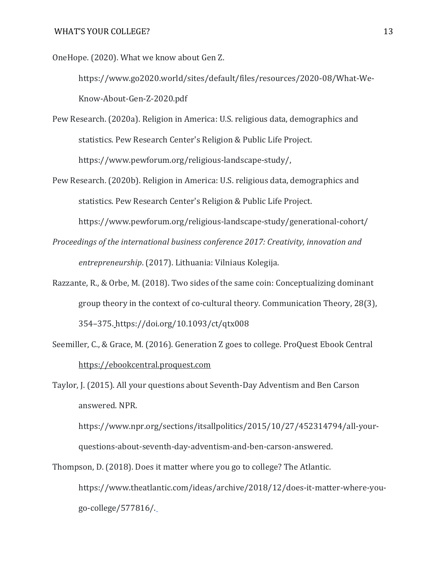OneHope. (2020). What we know about Gen Z.

https://www.go2020.world/sites/default/files/resources/2020-08/What-We-Know-About-Gen-Z-2020.pdf

Pew Research. (2020a). Religion in America: U.S. religious data, demographics and statistics. Pew Research Center's Religion & Public Life Project. https://www.pewforum.org/religious-landscape-study/,

Pew Research. (2020b). Religion in America: U.S. religious data, demographics and statistics. Pew Research Center's Religion & Public Life Project[.](https://www.pewforum.org/religious-landscape-study/generational-cohort/)

<https://www.pewforum.org/religious-landscape-study/generational-cohort/>

- *Proceedings of the international business conference 2017: Creativity, innovation and entrepreneurship*. (2017). Lithuania: Vilniaus Kolegija.
- Razzante, R., & Orbe, M. (2018). Two sides of the same coin: Conceptualizing dominant group theory in the context of co-cultural theory. Communication Theory, 28(3), 354–375. <https://doi.org/10.1093/ct/qtx008>
- Seemiller, C., & Grace, M. (2016). Generation Z goes to college. ProQuest Ebook Centra[l](https://ebookcentral.proquest.com/) [https://ebookcentral.proquest.com](https://ebookcentral.proquest.com/)

Taylor, J. (2015). All your questions about Seventh-Day Adventism and Ben Carson answered. NPR.

https://www.npr.org/sections/itsallpolitics/2015/10/27/452314794/all-yourquestions-about-seventh-day-adventism-and-ben-carson-answered.

Thompson, D. (2018). Does it matter where you go to college? The Atlantic. https://www.theatlantic.com/ideas/archive/2018/12/does-it-matter-where-yougo-college/577816/.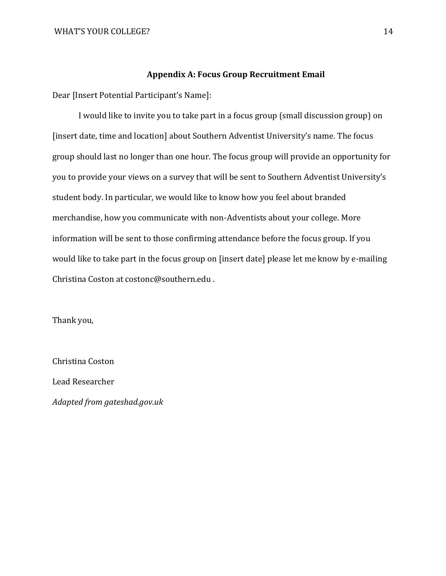#### **Appendix A: Focus Group Recruitment Email**

Dear [Insert Potential Participant's Name]:

I would like to invite you to take part in a focus group (small discussion group) on [insert date, time and location] about Southern Adventist University's name. The focus group should last no longer than one hour. The focus group will provide an opportunity for you to provide your views on a survey that will be sent to Southern Adventist University's student body. In particular, we would like to know how you feel about branded merchandise, how you communicate with non-Adventists about your college. More information will be sent to those confirming attendance before the focus group. If you would like to take part in the focus group on [insert date] please let me know by e-mailing Christina Coston at costonc@southern.edu .

Thank you,

Christina Coston Lead Researcher *Adapted from gateshad.gov.uk*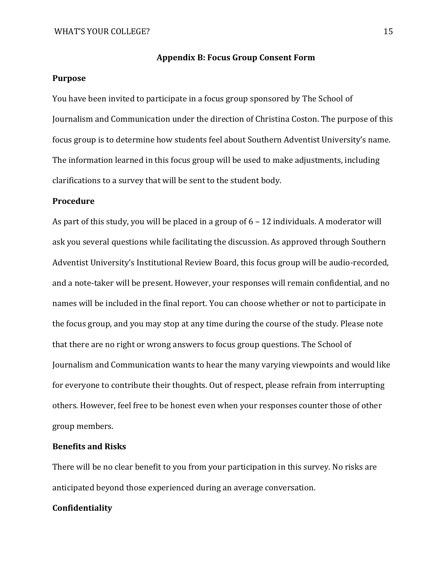# **Appendix B: Focus Group Consent Form**

#### **Purpose**

You have been invited to participate in a focus group sponsored by The School of Journalism and Communication under the direction of Christina Coston. The purpose of this focus group is to determine how students feel about Southern Adventist University's name. The information learned in this focus group will be used to make adjustments, including clarifications to a survey that will be sent to the student body.

### **Procedure**

As part of this study, you will be placed in a group of 6 – 12 individuals. A moderator will ask you several questions while facilitating the discussion. As approved through Southern Adventist University's Institutional Review Board, this focus group will be audio-recorded, and a note-taker will be present. However, your responses will remain confidential, and no names will be included in the final report. You can choose whether or not to participate in the focus group, and you may stop at any time during the course of the study. Please note that there are no right or wrong answers to focus group questions. The School of Journalism and Communication wants to hear the many varying viewpoints and would like for everyone to contribute their thoughts. Out of respect, please refrain from interrupting others. However, feel free to be honest even when your responses counter those of other group members.

# **Benefits and Risks**

There will be no clear benefit to you from your participation in this survey. No risks are anticipated beyond those experienced during an average conversation.

# **Confidentiality**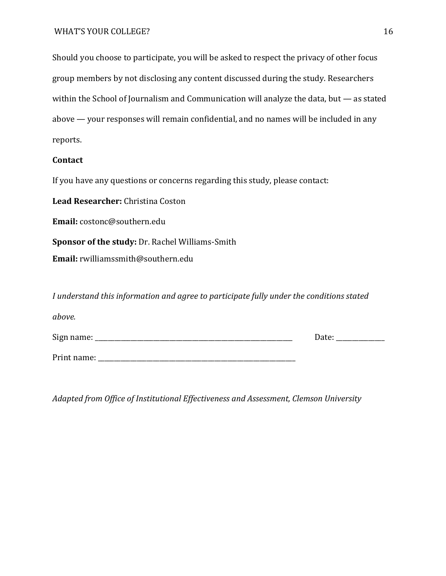Should you choose to participate, you will be asked to respect the privacy of other focus group members by not disclosing any content discussed during the study. Researchers within the School of Journalism and Communication will analyze the data, but — as stated above — your responses will remain confidential, and no names will be included in any reports.

# **Contact**

If you have any questions or concerns regarding this study, please contact:

**Lead Researcher:** Christina Coston

**Email:** costonc@southern.edu

**Sponsor of the study:** Dr. Rachel Williams-Smith

**Email:** rwilliamssmith@southern.edu

*I understand this information and agree to participate fully under the conditions stated above.* Sign name:  $\Box$ 

Print name:

*Adapted from Office of Institutional Effectiveness and Assessment, Clemson University*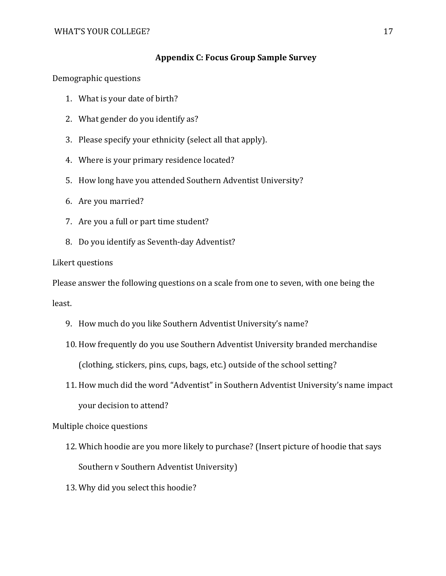# **Appendix C: Focus Group Sample Survey**

Demographic questions

- 1. What is your date of birth?
- 2. What gender do you identify as?
- 3. Please specify your ethnicity (select all that apply).
- 4. Where is your primary residence located?
- 5. How long have you attended Southern Adventist University?
- 6. Are you married?
- 7. Are you a full or part time student?
- 8. Do you identify as Seventh-day Adventist?

# Likert questions

Please answer the following questions on a scale from one to seven, with one being the least.

- 9. How much do you like Southern Adventist University's name?
- 10. How frequently do you use Southern Adventist University branded merchandise (clothing, stickers, pins, cups, bags, etc.) outside of the school setting?
- 11. How much did the word "Adventist" in Southern Adventist University's name impact your decision to attend?

# Multiple choice questions

- 12. Which hoodie are you more likely to purchase? (Insert picture of hoodie that says Southern v Southern Adventist University)
- 13. Why did you select this hoodie?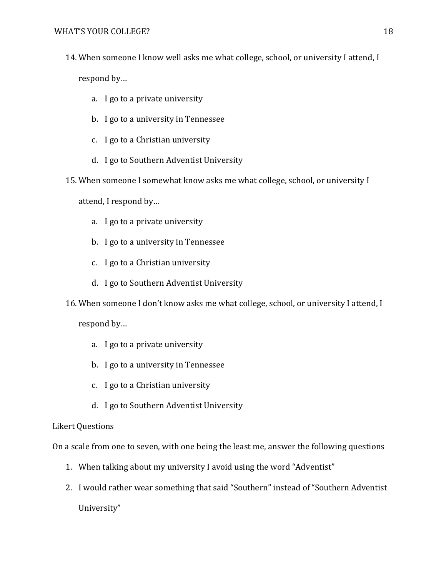- 14. When someone I know well asks me what college, school, or university I attend, I respond by…
	- a. I go to a private university
	- b. I go to a university in Tennessee
	- c. I go to a Christian university
	- d. I go to Southern Adventist University
- 15. When someone I somewhat know asks me what college, school, or university I

attend, I respond by…

- a. I go to a private university
- b. I go to a university in Tennessee
- c. I go to a Christian university
- d. I go to Southern Adventist University
- 16. When someone I don't know asks me what college, school, or university I attend, I

respond by…

- a. I go to a private university
- b. I go to a university in Tennessee
- c. I go to a Christian university
- d. I go to Southern Adventist University

# Likert Questions

On a scale from one to seven, with one being the least me, answer the following questions

- 1. When talking about my university I avoid using the word "Adventist"
- 2. I would rather wear something that said "Southern" instead of "Southern Adventist University"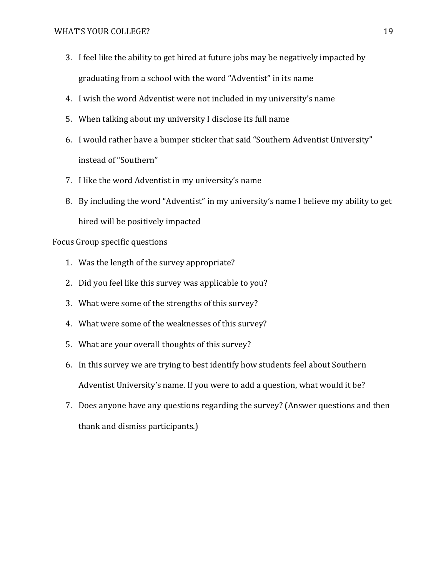- 3. I feel like the ability to get hired at future jobs may be negatively impacted by graduating from a school with the word "Adventist" in its name
- 4. I wish the word Adventist were not included in my university's name
- 5. When talking about my university I disclose its full name
- 6. I would rather have a bumper sticker that said "Southern Adventist University" instead of "Southern"
- 7. I like the word Adventist in my university's name
- 8. By including the word "Adventist" in my university's name I believe my ability to get hired will be positively impacted

# Focus Group specific questions

- 1. Was the length of the survey appropriate?
- 2. Did you feel like this survey was applicable to you?
- 3. What were some of the strengths of this survey?
- 4. What were some of the weaknesses of this survey?
- 5. What are your overall thoughts of this survey?
- 6. In this survey we are trying to best identify how students feel about Southern Adventist University's name. If you were to add a question, what would it be?
- 7. Does anyone have any questions regarding the survey? (Answer questions and then thank and dismiss participants.)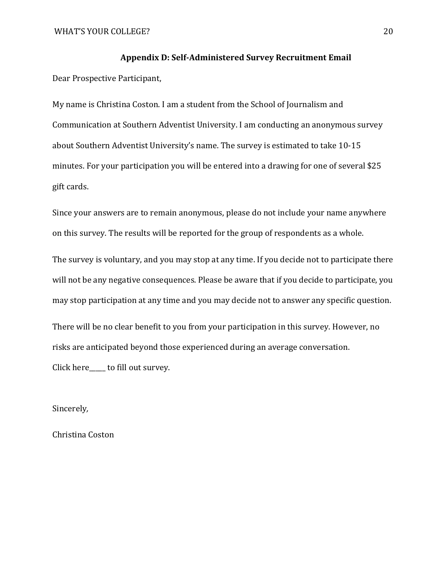### **Appendix D: Self-Administered Survey Recruitment Email**

Dear Prospective Participant,

My name is Christina Coston. I am a student from the School of Journalism and Communication at Southern Adventist University. I am conducting an anonymous survey about Southern Adventist University's name. The survey is estimated to take 10-15 minutes. For your participation you will be entered into a drawing for one of several \$25 gift cards.

Since your answers are to remain anonymous, please do not include your name anywhere on this survey. The results will be reported for the group of respondents as a whole.

The survey is voluntary, and you may stop at any time. If you decide not to participate there will not be any negative consequences. Please be aware that if you decide to participate, you may stop participation at any time and you may decide not to answer any specific question.

There will be no clear benefit to you from your participation in this survey. However, no risks are anticipated beyond those experienced during an average conversation. Click here\_\_\_\_\_ to fill out survey.

Sincerely*,*

Christina Coston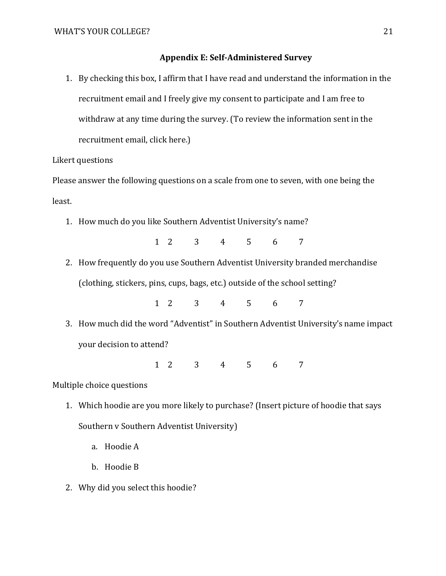# **Appendix E: Self-Administered Survey**

1. By checking this box, I affirm that I have read and understand the information in the recruitment email and I freely give my consent to participate and I am free to withdraw at any time during the survey. (To review the information sent in the recruitment email, click here.)

Likert questions

Please answer the following questions on a scale from one to seven, with one being the least.

1. How much do you like Southern Adventist University's name?

1 2 3 4 5 6 7

2. How frequently do you use Southern Adventist University branded merchandise (clothing, stickers, pins, cups, bags, etc.) outside of the school setting?

1 2 3 4 5 6 7

3. How much did the word "Adventist" in Southern Adventist University's name impact your decision to attend?

1 2 3 4 5 6 7

Multiple choice questions

- 1. Which hoodie are you more likely to purchase? (Insert picture of hoodie that says Southern v Southern Adventist University)
	- a. Hoodie A
	- b. Hoodie B
- 2. Why did you select this hoodie?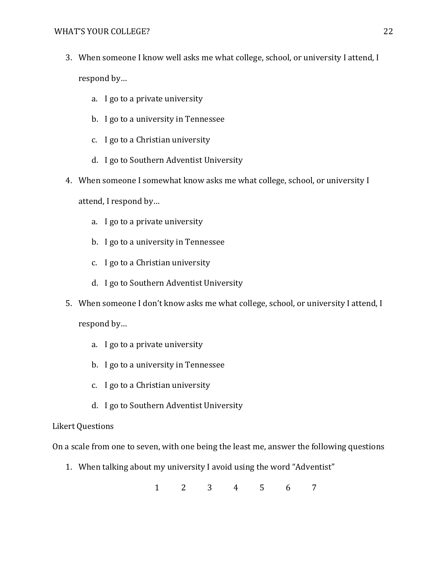- 3. When someone I know well asks me what college, school, or university I attend, I respond by…
	- a. I go to a private university
	- b. I go to a university in Tennessee
	- c. I go to a Christian university
	- d. I go to Southern Adventist University
- 4. When someone I somewhat know asks me what college, school, or university I

attend, I respond by…

- a. I go to a private university
- b. I go to a university in Tennessee
- c. I go to a Christian university
- d. I go to Southern Adventist University
- 5. When someone I don't know asks me what college, school, or university I attend, I respond by…
	- a. I go to a private university
	- b. I go to a university in Tennessee
	- c. I go to a Christian university
	- d. I go to Southern Adventist University

# Likert Questions

On a scale from one to seven, with one being the least me, answer the following questions

1. When talking about my university I avoid using the word "Adventist"

1 2 3 4 5 6 7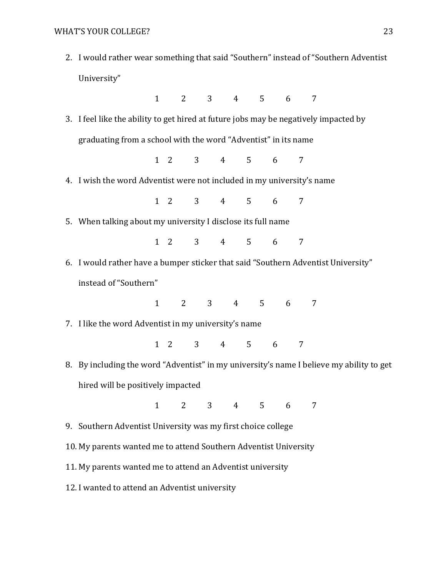- 2. I would rather wear something that said "Southern" instead of "Southern Adventist University"
- 1 2 3 4 5 6 7 3. I feel like the ability to get hired at future jobs may be negatively impacted by graduating from a school with the word "Adventist" in its name 1 2 3 4 5 6 7 4. I wish the word Adventist were not included in my university's name

1 2 3 4 5 6 7

- 5. When talking about my university I disclose its full name
	- 1 2 3 4 5 6 7
- 6. I would rather have a bumper sticker that said "Southern Adventist University" instead of "Southern"

1 2 3 4 5 6 7

7. I like the word Adventist in my university's name

1 2 3 4 5 6 7

8. By including the word "Adventist" in my university's name I believe my ability to get hired will be positively impacted

1 2 3 4 5 6 7

- 9. Southern Adventist University was my first choice college
- 10. My parents wanted me to attend Southern Adventist University
- 11. My parents wanted me to attend an Adventist university
- 12. I wanted to attend an Adventist university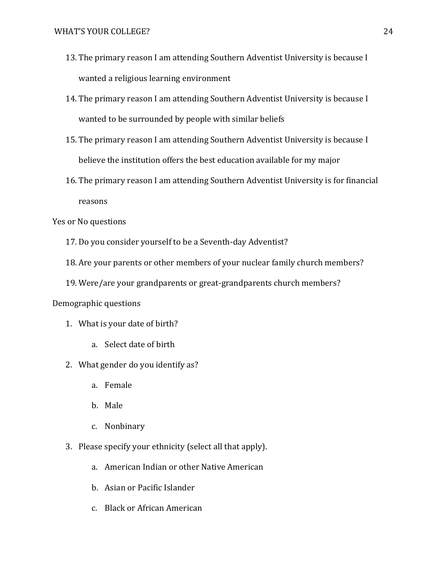- 13. The primary reason I am attending Southern Adventist University is because I wanted a religious learning environment
- 14. The primary reason I am attending Southern Adventist University is because I wanted to be surrounded by people with similar beliefs
- 15. The primary reason I am attending Southern Adventist University is because I believe the institution offers the best education available for my major
- 16. The primary reason I am attending Southern Adventist University is for financial reasons

Yes or No questions

- 17. Do you consider yourself to be a Seventh-day Adventist?
- 18. Are your parents or other members of your nuclear family church members?
- 19. Were/are your grandparents or great-grandparents church members?

# Demographic questions

- 1. What is your date of birth?
	- a. Select date of birth
- 2. What gender do you identify as?
	- a. Female
	- b. Male
	- c. Nonbinary
- 3. Please specify your ethnicity (select all that apply).
	- a. American Indian or other Native American
	- b. Asian or Pacific Islander
	- c. Black or African American